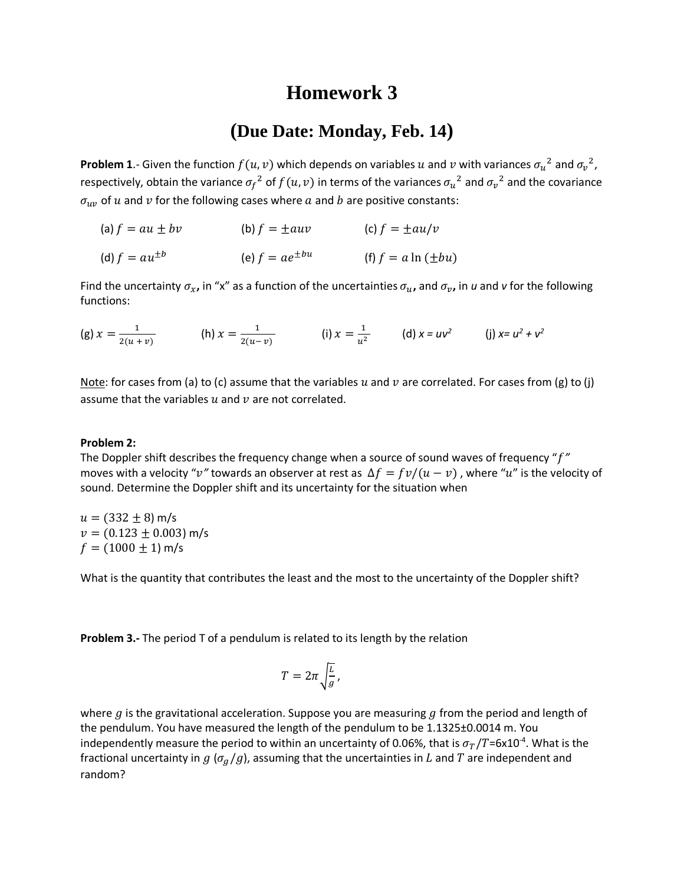## **Homework 3**

## **(Due Date: Monday, Feb. 14)**

**Problem 1**.- Given the function  $f(u, v)$  which depends on variables  $u$  and  $v$  with variances  $\sigma_u^2$  and  $\sigma_v^2$ , respectively, obtain the variance  $\sigma_f{}^2$  of  $f(u,v)$  in terms of the variances  $\sigma_u{}^2$  and  $\sigma_v{}^2$  and the covariance  $\sigma_{uv}$  of u and v for the following cases where a and b are positive constants:

| (a) $f = au \pm bv$  | (b) $f = \pm auv$     | (c) $f = \pm au/v$      |
|----------------------|-----------------------|-------------------------|
| (d) $f = au^{\pm b}$ | (e) $f = ae^{\pm bu}$ | (f) $f = a \ln(\pm bu)$ |

Find the uncertainty  $\sigma_x$ , in "x" as a function of the uncertainties  $\sigma_u$ , and  $\sigma_v$ , in *u* and *v* for the following functions:

(g) 
$$
x = \frac{1}{2(u+v)}
$$
 (h)  $x = \frac{1}{2(u-v)}$  (i)  $x = \frac{1}{u^2}$  (d)  $x = uv^2$  (j)  $x = u^2 + v^2$ 

Note: for cases from (a) to (c) assume that the variables u and  $v$  are correlated. For cases from (g) to (j) assume that the variables  $u$  and  $v$  are not correlated.

## **Problem 2:**

The Doppler shift describes the frequency change when a source of sound waves of frequency "*"* moves with a velocity "v" towards an observer at rest as  $\Delta f = f v/(u - v)$ , where "u" is the velocity of sound. Determine the Doppler shift and its uncertainty for the situation when

 $u = (332 \pm 8)$  m/s  $v = (0.123 \pm 0.003)$  m/s  $f = (1000 \pm 1)$  m/s

What is the quantity that contributes the least and the most to the uncertainty of the Doppler shift?

**Problem 3.-** The period T of a pendulum is related to its length by the relation

$$
T=2\pi\sqrt{\frac{L}{g}},
$$

where  $g$  is the gravitational acceleration. Suppose you are measuring  $g$  from the period and length of the pendulum. You have measured the length of the pendulum to be 1.1325±0.0014 m. You independently measure the period to within an uncertainty of 0.06%, that is  $\sigma_T/T$ =6x10<sup>-4</sup>. What is the fractional uncertainty in  $g(\sigma_a/g)$ , assuming that the uncertainties in L and T are independent and random?